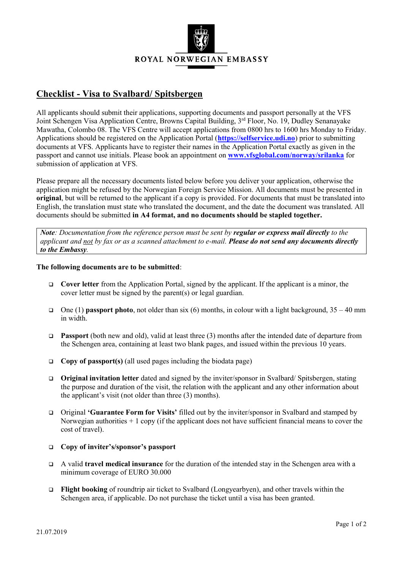

## **Checklist - Visa to Svalbard/ Spitsbergen**

All applicants should submit their applications, supporting documents and passport personally at the VFS Joint Schengen Visa Application Centre, Browns Capital Building, 3<sup>rd</sup> Floor, No. 19, Dudley Senanayake Mawatha, Colombo 08. The VFS Centre will accept applications from 0800 hrs to 1600 hrs Monday to Friday. Applications should be registered on the Application Portal (**[https://selfservice.udi.no](https://selfservice.udi.no/)**) prior to submitting documents at VFS. Applicants have to register their names in the Application Portal exactly as given in the passport and cannot use initials. Please book an appointment on **[www.vfsglobal.com/norway/srilanka](http://www.vfsglobal.com/norway/srilanka)** for submission of application at VFS.

Please prepare all the necessary documents listed below before you deliver your application, otherwise the application might be refused by the Norwegian Foreign Service Mission. All documents must be presented in **original**, but will be returned to the applicant if a copy is provided. For documents that must be translated into English, the translation must state who translated the document, and the date the document was translated. All documents should be submitted **in A4 format, and no documents should be stapled together.**

*Note: Documentation from the reference person must be sent by <i>regular or express mail directly to the applicant and not by fax or as a scanned attachment to e-mail. Please do not send any documents directly to the Embassy.*

## **The following documents are to be submitted**:

- **Cover letter** from the Application Portal, signed by the applicant. If the applicant is a minor, the cover letter must be signed by the parent(s) or legal guardian.
- One (1) **passport photo**, not older than six (6) months, in colour with a light background,  $35 40$  mm in width.
- **Passport** (both new and old), valid at least three (3) months after the intended date of departure from the Schengen area, containing at least two blank pages, and issued within the previous 10 years.
- **Copy of passport(s)** (all used pages including the biodata page)
- **Original invitation letter** dated and signed by the inviter/sponsor in Svalbard/ Spitsbergen, stating the purpose and duration of the visit, the relation with the applicant and any other information about the applicant's visit (not older than three (3) months).
- Original **'Guarantee Form for Visits'** filled out by the inviter/sponsor in Svalbard and stamped by Norwegian authorities  $+1$  copy (if the applicant does not have sufficient financial means to cover the cost of travel).

## **Copy of inviter's/sponsor's passport**

- A valid **travel medical insurance** for the duration of the intended stay in the Schengen area with a minimum coverage of EURO 30.000
- **Flight booking** of roundtrip air ticket to Svalbard (Longyearbyen), and other travels within the Schengen area, if applicable. Do not purchase the ticket until a visa has been granted.